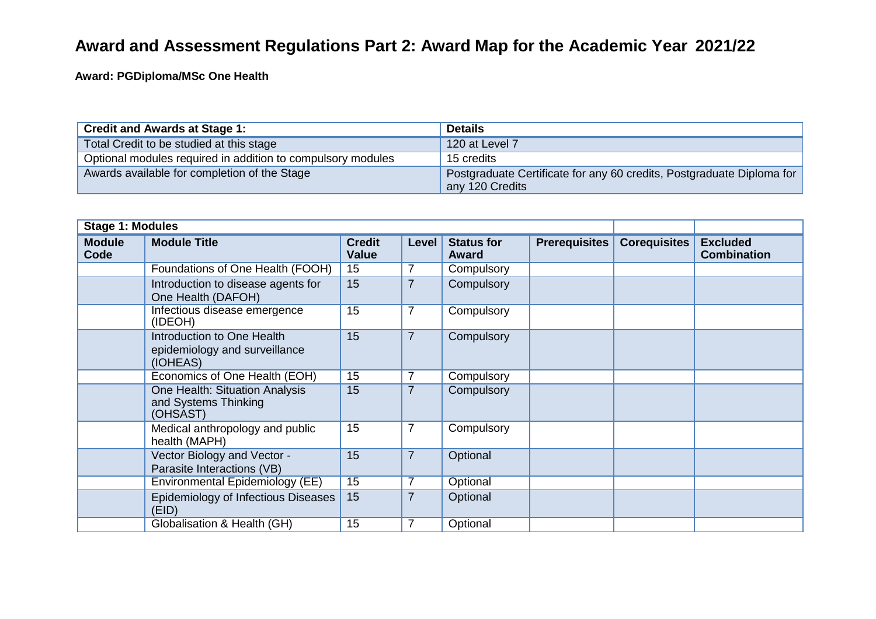## **Award and Assessment Regulations Part 2: Award Map for the Academic Year 2021/22**

**Award: PGDiploma/MSc One Health**

| <b>Credit and Awards at Stage 1:</b>                        | <b>Details</b>                                                                           |
|-------------------------------------------------------------|------------------------------------------------------------------------------------------|
| Total Credit to be studied at this stage                    | 120 at Level 7                                                                           |
| Optional modules required in addition to compulsory modules | 15 credits                                                                               |
| Awards available for completion of the Stage                | Postgraduate Certificate for any 60 credits, Postgraduate Diploma for<br>any 120 Credits |

| <b>Stage 1: Modules</b> |                                                                         |                               |                |                                   |                      |                     |                                       |
|-------------------------|-------------------------------------------------------------------------|-------------------------------|----------------|-----------------------------------|----------------------|---------------------|---------------------------------------|
| <b>Module</b><br>Code   | <b>Module Title</b>                                                     | <b>Credit</b><br><b>Value</b> | Level          | <b>Status for</b><br><b>Award</b> | <b>Prerequisites</b> | <b>Corequisites</b> | <b>Excluded</b><br><b>Combination</b> |
|                         | Foundations of One Health (FOOH)                                        | 15                            | $\overline{7}$ | Compulsory                        |                      |                     |                                       |
|                         | Introduction to disease agents for<br>One Health (DAFOH)                | 15                            | $\overline{7}$ | Compulsory                        |                      |                     |                                       |
|                         | Infectious disease emergence<br>(IDEOH)                                 | 15                            | $\overline{7}$ | Compulsory                        |                      |                     |                                       |
|                         | Introduction to One Health<br>epidemiology and surveillance<br>(IOHEAS) | 15                            | $\overline{7}$ | Compulsory                        |                      |                     |                                       |
|                         | Economics of One Health (EOH)                                           | 15                            | $\overline{7}$ | Compulsory                        |                      |                     |                                       |
|                         | One Health: Situation Analysis<br>and Systems Thinking<br>(OHSAST)      | 15                            | $\overline{7}$ | Compulsory                        |                      |                     |                                       |
|                         | Medical anthropology and public<br>health (MAPH)                        | 15                            | $\overline{7}$ | Compulsory                        |                      |                     |                                       |
|                         | Vector Biology and Vector -<br>Parasite Interactions (VB)               | 15                            | $\overline{7}$ | Optional                          |                      |                     |                                       |
|                         | Environmental Epidemiology (EE)                                         | 15                            | 7              | Optional                          |                      |                     |                                       |
|                         | Epidemiology of Infectious Diseases<br>(EID)                            | 15                            | $\overline{7}$ | Optional                          |                      |                     |                                       |
|                         | Globalisation & Health (GH)                                             | 15                            | $\overline{7}$ | Optional                          |                      |                     |                                       |